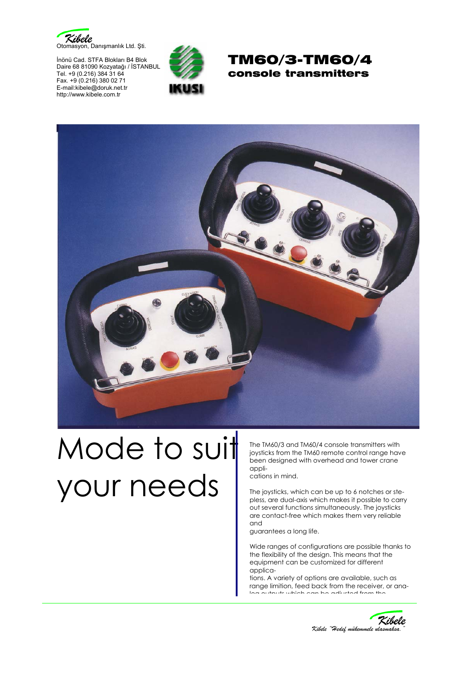

İnönü Cad. STFA Blokları B4 Blok Daire 68 81090 Kozyatağı / İSTANBUL Tel. +9 (0.216) 384 31 64 Fax. +9 (0.216) 380 02 71 E-mail:kibele@doruk.net.tr http://www.kibele.com.tr







## Mode to suit your needs

The TM60/3 and TM60/4 console transmitters with joysticks from the TM60 remote control range have been designed with overhead and tower crane appli-

cations in mind.

The joysticks, which can be up to 6 notches or stepless, are dual-axis which makes it possible to carry out several functions simultaneously. The joysticks are contact-free which makes them very reliable and

guarantees a long life.

Wide ranges of configurations are possible thanks to the flexibility of the design. This means that the equipment can be customized for different applica-

tions. A variety of options are available, such as range limition, feed back from the receiver, or analog outputs which can be adjusted from the